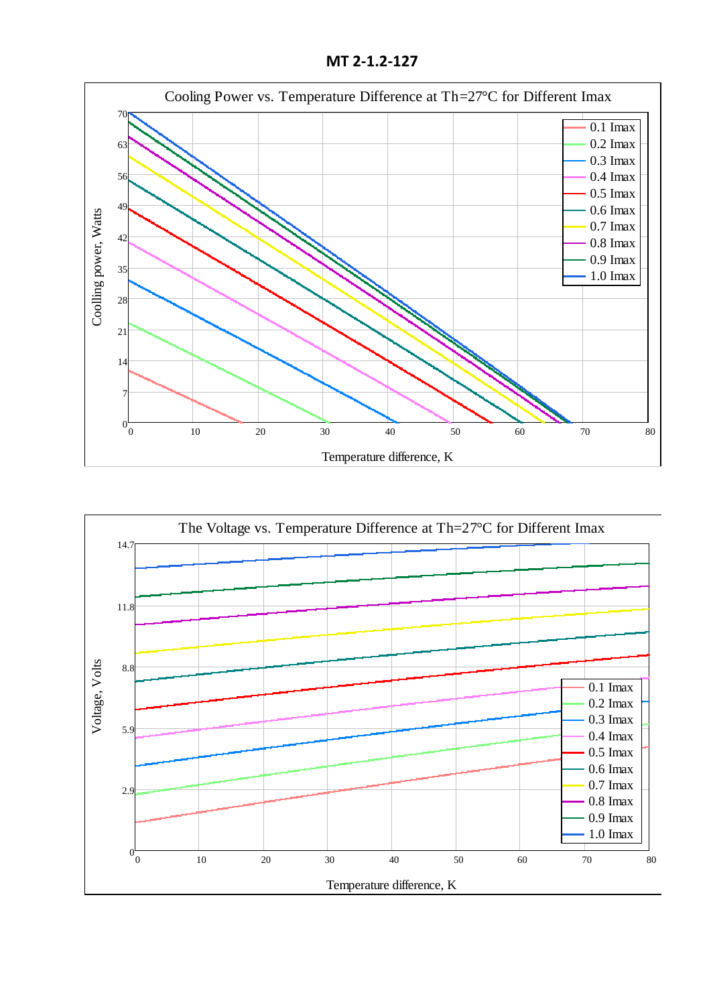**MT 2-1.2-127**